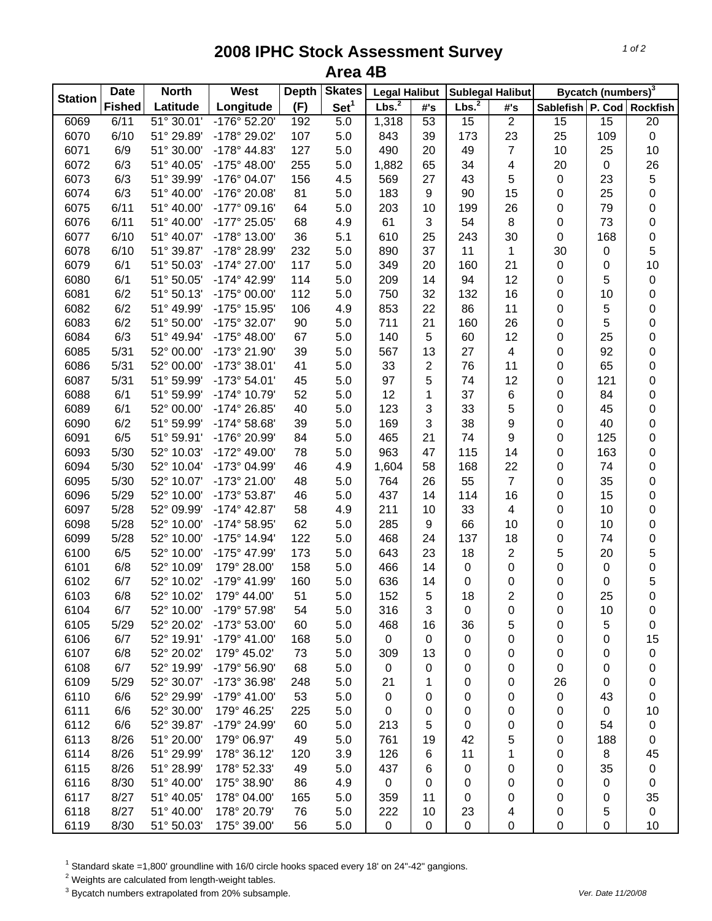## **2008 IPHC Stock Assessment Survey Area 4B**

| <b>Station</b> | <b>Date</b>   | <b>Skates</b><br><b>North</b><br>West<br>Depth |                       | <b>Legal Halibut</b> |                  | <b>Sublegal Halibut</b> |                 | Bycatch (numbers) <sup>3</sup> |                |                           |           |                  |
|----------------|---------------|------------------------------------------------|-----------------------|----------------------|------------------|-------------------------|-----------------|--------------------------------|----------------|---------------------------|-----------|------------------|
|                | <b>Fished</b> | Latitude                                       | Longitude             | (F)                  | Set <sup>1</sup> | Lbs. <sup>2</sup>       | #'s             | Lbs. <sup>2</sup>              | #'s            | Sablefish P. Cod Rockfish |           |                  |
| 6069           | 6/11          | 51° 30.01'                                     | $-176°52.20'$         | 192                  | 5.0              | 1,318                   | $\overline{53}$ | 15                             | $\overline{2}$ | $\overline{15}$           | 15        | $\overline{20}$  |
| 6070           | 6/10          | 51° 29.89'                                     | -178° 29.02'          | 107                  | 5.0              | 843                     | 39              | 173                            | 23             | 25                        | 109       | $\pmb{0}$        |
| 6071           | 6/9           | 51° 30.00'                                     | -178° 44.83'          | 127                  | 5.0              | 490                     | 20              | 49                             | $\overline{7}$ | 10                        | 25        | 10               |
| 6072           | 6/3           | 51° 40.05'                                     | $-175^{\circ}$ 48.00' | 255                  | 5.0              | 1,882                   | 65              | 34                             | 4              | 20                        | $\pmb{0}$ | 26               |
| 6073           | 6/3           | 51° 39.99'                                     | -176° 04.07'          | 156                  | 4.5              | 569                     | 27              | 43                             | 5              | $\pmb{0}$                 | 23        | $\mathbf 5$      |
| 6074           | 6/3           | 51° 40.00'                                     | -176° 20.08'          | 81                   | 5.0              | 183                     | 9               | 90                             | 15             | 0                         | 25        | $\mathbf 0$      |
| 6075           | 6/11          | 51° 40.00                                      | -177° 09.16'          | 64                   | 5.0              | 203                     | 10              | 199                            | 26             | 0                         | 79        | $\boldsymbol{0}$ |
| 6076           | 6/11          | 51° 40.00'                                     | -177° 25.05'          | 68                   | 4.9              | 61                      | $\sqrt{3}$      | 54                             | 8              | 0                         | 73        | $\pmb{0}$        |
| 6077           | 6/10          | 51° 40.07'                                     | -178° 13.00'          | 36                   | 5.1              | 610                     | 25              | 243                            | 30             | 0                         | 168       | $\pmb{0}$        |
| 6078           | 6/10          | 51° 39.87'                                     | -178° 28.99'          | 232                  | 5.0              | 890                     | 37              | 11                             | 1              | 30                        | 0         | 5                |
| 6079           | 6/1           | 51° 50.03'                                     | -174° 27.00'          | 117                  | 5.0              | 349                     | 20              | 160                            | 21             | 0                         | 0         | 10               |
| 6080           | 6/1           | 51° 50.05'                                     | -174° 42.99'          | 114                  | 5.0              | 209                     | 14              | 94                             | 12             | 0                         | 5         | $\pmb{0}$        |
| 6081           | 6/2           | 51° 50.13'                                     | -175° 00.00'          | 112                  | 5.0              | 750                     | 32              | 132                            | 16             | 0                         | 10        | $\boldsymbol{0}$ |
| 6082           | 6/2           | 51° 49.99'                                     | -175° 15.95'          | 106                  | 4.9              | 853                     | 22              | 86                             | 11             | 0                         | 5         | $\boldsymbol{0}$ |
| 6083           | 6/2           | 51° 50.00'                                     | -175° 32.07'          | 90                   | 5.0              | 711                     | 21              | 160                            | 26             | 0                         | 5         | 0                |
| 6084           | 6/3           | 51° 49.94'                                     | $-175^{\circ}$ 48.00' | 67                   | 5.0              | 140                     | 5               | 60                             | 12             | 0                         | 25        | 0                |
| 6085           | 5/31          | 52° 00.00'                                     | -173° 21.90'          | 39                   | 5.0              | 567                     | 13              | 27                             | 4              | 0                         | 92        | $\boldsymbol{0}$ |
| 6086           | 5/31          | 52° 00.00'                                     | -173° 38.01'          | 41                   | 5.0              | 33                      | $\overline{2}$  | 76                             | 11             | 0                         | 65        | $\boldsymbol{0}$ |
| 6087           | 5/31          | 51° 59.99'                                     | -173° 54.01'          | 45                   | 5.0              | 97                      | 5               | 74                             | 12             | 0                         | 121       | $\mathbf 0$      |
| 6088           | 6/1           | 51° 59.99'                                     | -174° 10.79'          | 52                   | 5.0              | 12                      | 1               | 37                             | $\,6$          | 0                         | 84        | $\pmb{0}$        |
| 6089           | 6/1           | 52° 00.00'                                     | -174° 26.85'          | 40                   | 5.0              | 123                     | 3               | 33                             | 5              | 0                         | 45        | $\mathbf 0$      |
| 6090           | 6/2           | 51° 59.99'                                     | $-174^{\circ} 58.68'$ | 39                   | 5.0              | 169                     | 3               | 38                             | 9              | 0                         | 40        | $\mathbf 0$      |
| 6091           | 6/5           | 51° 59.91'                                     | -176° 20.99'          | 84                   | 5.0              | 465                     | 21              | 74                             | 9              | 0                         | 125       | $\mathbf 0$      |
| 6093           | 5/30          | 52° 10.03'                                     | -172° 49.00'          | 78                   | 5.0              | 963                     | 47              | 115                            | 14             | 0                         | 163       | $\pmb{0}$        |
| 6094           | 5/30          | 52° 10.04'                                     | -173° 04.99'          | 46                   | 4.9              | 1,604                   | 58              | 168                            | 22             | 0                         | 74        | $\boldsymbol{0}$ |
| 6095           | 5/30          | 52° 10.07'                                     | -173° 21.00'          | 48                   | 5.0              | 764                     | 26              | 55                             | $\overline{7}$ | 0                         | 35        | $\boldsymbol{0}$ |
| 6096           | 5/29          | 52° 10.00                                      | -173° 53.87'          | 46                   | 5.0              | 437                     | 14              | 114                            | 16             | 0                         | 15        | $\boldsymbol{0}$ |
| 6097           | 5/28          | 52° 09.99'                                     | $-174^{\circ}$ 42.87' | 58                   | 4.9              | 211                     | 10              | 33                             | 4              | 0                         | 10        | 0                |
| 6098           | 5/28          | 52° 10.00'                                     | -174° 58.95'          | 62                   | 5.0              | 285                     | 9               | 66                             | 10             | 0                         | 10        | $\mathbf 0$      |
| 6099           | 5/28          | 52° 10.00'                                     | -175° 14.94'          | 122                  | 5.0              | 468                     | 24              | 137                            | 18             | 0                         | 74        | 0                |
| 6100           | 6/5           | 52° 10.00'                                     | -175° 47.99'          | 173                  | 5.0              | 643                     | 23              | 18                             | 2              | 5                         | 20        | 5                |
| 6101           | 6/8           | 52° 10.09'                                     | 179° 28.00'           | 158                  | 5.0              | 466                     | 14              | 0                              | 0              | 0                         | $\pmb{0}$ | 0                |
| 6102           | 6/7           | 52° 10.02'                                     | -179° 41.99'          | 160                  | 5.0              | 636                     | 14              | 0                              | 0              | 0                         | 0         | 5                |
| 6103           | 6/8           | 52° 10.02'                                     | 179° 44.00'           | 51                   | 5.0              | 152                     | 5               | 18                             | $\overline{2}$ | 0                         | 25        | $\mathbf 0$      |
| 6104           | 6/7           | 52° 10.00'                                     | $-179^{\circ}$ 57.98  | 54                   | 5.0              | 316                     | 3               | 0                              | 0              | 0                         | 10        | 0                |
| 6105           | 5/29          | 52° 20.02'                                     | -173° 53.00'          | 60                   | 5.0              | 468                     | 16              | 36                             | 5              | 0                         | 5         | 0                |
| 6106           | 6/7           | 52° 19.91'                                     | -179° 41.00'          | 168                  | 5.0              | $\mathbf 0$             | 0               | 0                              | 0              | 0                         | 0         | 15               |
| 6107           | 6/8           | 52° 20.02'                                     | 179° 45.02'           | 73                   | 5.0              | 309                     | 13              | 0                              | 0              | 0                         | 0         | $\pmb{0}$        |
| 6108           | 6/7           | 52° 19.99'                                     | -179° 56.90'          | 68                   | 5.0              | 0                       | 0               | 0                              | 0              | 0                         | 0         | 0                |
| 6109           | 5/29          | 52° 30.07'                                     | -173° 36.98'          | 248                  | 5.0              | 21                      | 1               | 0                              | 0              | 26                        | 0         | 0                |
| 6110           | 6/6           | 52° 29.99'                                     | -179° 41.00'          | 53                   | 5.0              | 0                       | 0               | 0                              | 0              | 0                         | 43        | $\boldsymbol{0}$ |
| 6111           | 6/6           | 52° 30.00'                                     | 179° 46.25'           | 225                  | 5.0              | 0                       | 0               | 0                              | 0              | 0                         | 0         | 10               |
| 6112           | 6/6           | 52° 39.87'                                     | -179° 24.99'          | 60                   | 5.0              | 213                     | 5               | 0                              | 0              | 0                         | 54        | $\pmb{0}$        |
| 6113           | 8/26          | 51° 20.00'                                     | 179° 06.97'           | 49                   | 5.0              | 761                     | 19              | 42                             | 5              | 0                         | 188       | 0                |
| 6114           | 8/26          | 51° 29.99'                                     | 178° 36.12'           | 120                  | 3.9              | 126                     | 6               | 11                             | 1              | 0                         | 8         | 45               |
| 6115           | 8/26          | 51° 28.99'                                     | 178° 52.33'           | 49                   | 5.0              | 437                     | 6               | 0                              | 0              | 0                         | 35        | 0                |
| 6116           | 8/30          | 51° 40.00'                                     | 175° 38.90'           | 86                   | 4.9              | 0                       | 0               | 0                              | 0              | 0                         | 0         | 0                |
| 6117           | 8/27          | 51° 40.05'                                     | 178° 04.00'           | 165                  | 5.0              | 359                     | 11              | 0                              | 0              | 0                         | 0         | 35               |
| 6118           | 8/27          | 51° 40.00'                                     | 178° 20.79'           | 76                   | 5.0              | 222                     | 10              | 23                             | 4              | 0                         | 5         | $\mathbf 0$      |
| 6119           | 8/30          | 51° 50.03'                                     | 175° 39.00'           | 56                   | 5.0              | 0                       | $\mathbf 0$     | $\mathbf 0$                    | 0              | 0                         | 0         | 10               |

 $^1$  Standard skate =1,800' groundline with 16/0 circle hooks spaced every 18' on 24"-42" gangions.<br><sup>2</sup> Weights are calculated from length-weight tables.

3 Bycatch numbers extrapolated from 20% subsample. *Ver. Date 11/20/08*